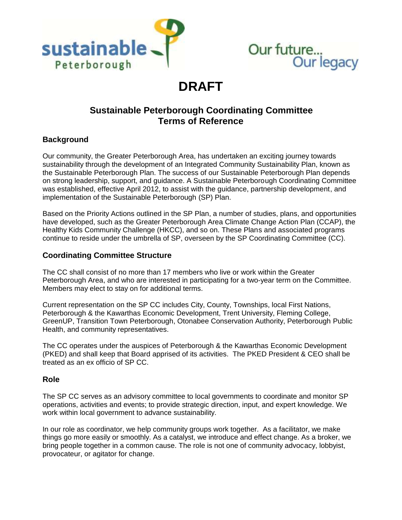



# **DRAFT**

# **Sustainable Peterborough Coordinating Committee Terms of Reference**

#### **Background**

Our community, the Greater Peterborough Area, has undertaken an exciting journey towards sustainability through the development of an Integrated Community Sustainability Plan, known as the Sustainable Peterborough Plan. The success of our Sustainable Peterborough Plan depends on strong leadership, support, and guidance. A Sustainable Peterborough Coordinating Committee was established, effective April 2012, to assist with the guidance, partnership development, and implementation of the Sustainable Peterborough (SP) Plan.

Based on the Priority Actions outlined in the SP Plan, a number of studies, plans, and opportunities have developed, such as the Greater Peterborough Area Climate Change Action Plan (CCAP), the Healthy Kids Community Challenge (HKCC), and so on. These Plans and associated programs continue to reside under the umbrella of SP, overseen by the SP Coordinating Committee (CC).

#### **Coordinating Committee Structure**

The CC shall consist of no more than 17 members who live or work within the Greater Peterborough Area, and who are interested in participating for a two-year term on the Committee. Members may elect to stay on for additional terms.

Current representation on the SP CC includes City, County, Townships, local First Nations, Peterborough & the Kawarthas Economic Development, Trent University, Fleming College, GreenUP, Transition Town Peterborough, Otonabee Conservation Authority, Peterborough Public Health, and community representatives.

The CC operates under the auspices of Peterborough & the Kawarthas Economic Development (PKED) and shall keep that Board apprised of its activities. The PKED President & CEO shall be treated as an ex officio of SP CC.

#### **Role**

The SP CC serves as an advisory committee to local governments to coordinate and monitor SP operations, activities and events; to provide strategic direction, input, and expert knowledge. We work within local government to advance sustainability.

In our role as coordinator, we help community groups work together. As a facilitator, we make things go more easily or smoothly. As a catalyst, we introduce and effect change. As a broker, we bring people together in a common cause. The role is not one of community advocacy, lobbyist, provocateur, or agitator for change.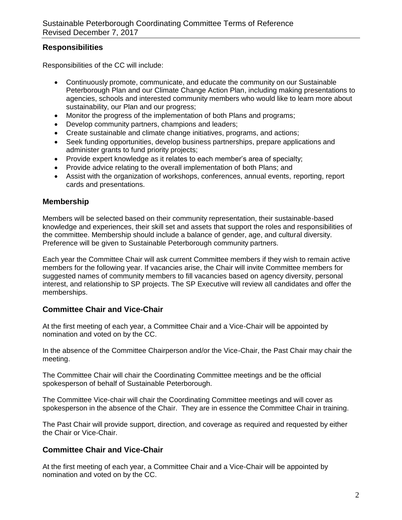## **Responsibilities**

Responsibilities of the CC will include:

- Continuously promote, communicate, and educate the community on our Sustainable Peterborough Plan and our Climate Change Action Plan, including making presentations to agencies, schools and interested community members who would like to learn more about sustainability, our Plan and our progress;
- Monitor the progress of the implementation of both Plans and programs;
- Develop community partners, champions and leaders;
- Create sustainable and climate change initiatives, programs, and actions;
- Seek funding opportunities, develop business partnerships, prepare applications and administer grants to fund priority projects;
- Provide expert knowledge as it relates to each member's area of specialty;
- Provide advice relating to the overall implementation of both Plans; and
- Assist with the organization of workshops, conferences, annual events, reporting, report cards and presentations.

## **Membership**

Members will be selected based on their community representation, their sustainable-based knowledge and experiences, their skill set and assets that support the roles and responsibilities of the committee. Membership should include a balance of gender, age, and cultural diversity. Preference will be given to Sustainable Peterborough community partners.

Each year the Committee Chair will ask current Committee members if they wish to remain active members for the following year. If vacancies arise, the Chair will invite Committee members for suggested names of community members to fill vacancies based on agency diversity, personal interest, and relationship to SP projects. The SP Executive will review all candidates and offer the memberships.

#### **Committee Chair and Vice-Chair**

At the first meeting of each year, a Committee Chair and a Vice-Chair will be appointed by nomination and voted on by the CC.

In the absence of the Committee Chairperson and/or the Vice-Chair, the Past Chair may chair the meeting.

The Committee Chair will chair the Coordinating Committee meetings and be the official spokesperson of behalf of Sustainable Peterborough.

The Committee Vice-chair will chair the Coordinating Committee meetings and will cover as spokesperson in the absence of the Chair. They are in essence the Committee Chair in training.

The Past Chair will provide support, direction, and coverage as required and requested by either the Chair or Vice-Chair.

## **Committee Chair and Vice-Chair**

At the first meeting of each year, a Committee Chair and a Vice-Chair will be appointed by nomination and voted on by the CC.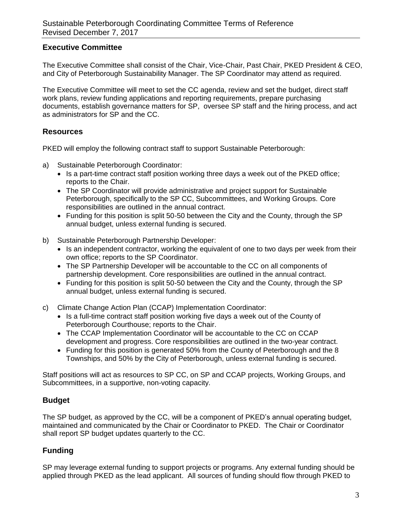### **Executive Committee**

The Executive Committee shall consist of the Chair, Vice-Chair, Past Chair, PKED President & CEO, and City of Peterborough Sustainability Manager. The SP Coordinator may attend as required.

The Executive Committee will meet to set the CC agenda, review and set the budget, direct staff work plans, review funding applications and reporting requirements, prepare purchasing documents, establish governance matters for SP, oversee SP staff and the hiring process, and act as administrators for SP and the CC.

#### **Resources**

PKED will employ the following contract staff to support Sustainable Peterborough:

- a) Sustainable Peterborough Coordinator:
	- Is a part-time contract staff position working three days a week out of the PKED office; reports to the Chair.
	- The SP Coordinator will provide administrative and project support for Sustainable Peterborough, specifically to the SP CC, Subcommittees, and Working Groups. Core responsibilities are outlined in the annual contract.
	- Funding for this position is split 50-50 between the City and the County, through the SP annual budget, unless external funding is secured.
- b) Sustainable Peterborough Partnership Developer:
	- Is an independent contractor, working the equivalent of one to two days per week from their own office; reports to the SP Coordinator.
	- The SP Partnership Developer will be accountable to the CC on all components of partnership development. Core responsibilities are outlined in the annual contract.
	- Funding for this position is split 50-50 between the City and the County, through the SP annual budget, unless external funding is secured.
- c) Climate Change Action Plan (CCAP) Implementation Coordinator:
	- Is a full-time contract staff position working five days a week out of the County of Peterborough Courthouse; reports to the Chair.
	- The CCAP Implementation Coordinator will be accountable to the CC on CCAP development and progress. Core responsibilities are outlined in the two-year contract.
	- Funding for this position is generated 50% from the County of Peterborough and the 8 Townships, and 50% by the City of Peterborough, unless external funding is secured.

Staff positions will act as resources to SP CC, on SP and CCAP projects, Working Groups, and Subcommittees, in a supportive, non-voting capacity.

# **Budget**

The SP budget, as approved by the CC, will be a component of PKED's annual operating budget, maintained and communicated by the Chair or Coordinator to PKED. The Chair or Coordinator shall report SP budget updates quarterly to the CC.

# **Funding**

SP may leverage external funding to support projects or programs. Any external funding should be applied through PKED as the lead applicant. All sources of funding should flow through PKED to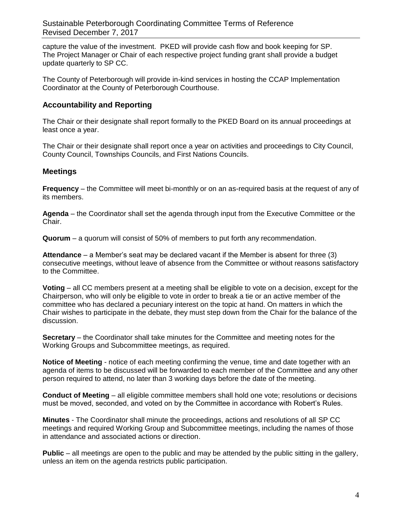capture the value of the investment. PKED will provide cash flow and book keeping for SP. The Project Manager or Chair of each respective project funding grant shall provide a budget update quarterly to SP CC.

The County of Peterborough will provide in-kind services in hosting the CCAP Implementation Coordinator at the County of Peterborough Courthouse.

## **Accountability and Reporting**

The Chair or their designate shall report formally to the PKED Board on its annual proceedings at least once a year.

The Chair or their designate shall report once a year on activities and proceedings to City Council, County Council, Townships Councils, and First Nations Councils.

## **Meetings**

**Frequency** – the Committee will meet bi-monthly or on an as-required basis at the request of any of its members.

**Agenda** – the Coordinator shall set the agenda through input from the Executive Committee or the Chair.

**Quorum** – a quorum will consist of 50% of members to put forth any recommendation.

**Attendance** – a Member's seat may be declared vacant if the Member is absent for three (3) consecutive meetings, without leave of absence from the Committee or without reasons satisfactory to the Committee.

**Voting** – all CC members present at a meeting shall be eligible to vote on a decision, except for the Chairperson, who will only be eligible to vote in order to break a tie or an active member of the committee who has declared a pecuniary interest on the topic at hand. On matters in which the Chair wishes to participate in the debate, they must step down from the Chair for the balance of the discussion.

**Secretary** – the Coordinator shall take minutes for the Committee and meeting notes for the Working Groups and Subcommittee meetings, as required.

**Notice of Meeting** - notice of each meeting confirming the venue, time and date together with an agenda of items to be discussed will be forwarded to each member of the Committee and any other person required to attend, no later than 3 working days before the date of the meeting.

**Conduct of Meeting** – all eligible committee members shall hold one vote; resolutions or decisions must be moved, seconded, and voted on by the Committee in accordance with Robert's Rules.

**Minutes** - The Coordinator shall minute the proceedings, actions and resolutions of all SP CC meetings and required Working Group and Subcommittee meetings, including the names of those in attendance and associated actions or direction.

**Public** – all meetings are open to the public and may be attended by the public sitting in the gallery, unless an item on the agenda restricts public participation.